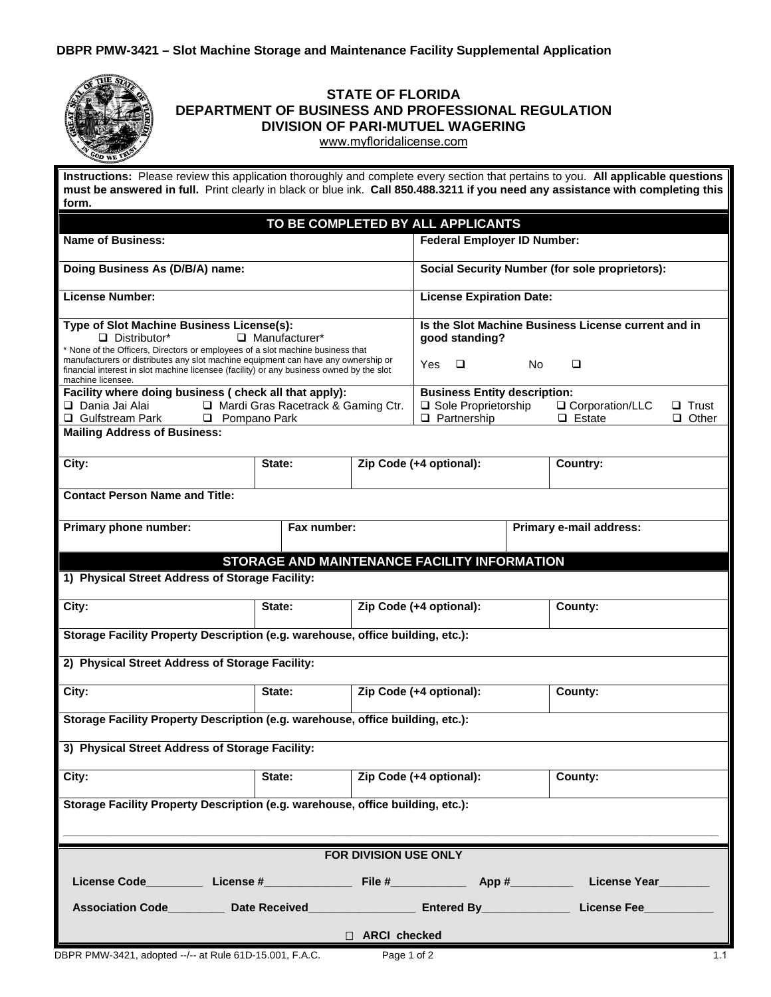| <b>STATE OF FLORIDA</b><br>DEPARTMENT OF BUSINESS AND PROFESSIONAL REGULATION<br><b>DIVISION OF PARI-MUTUEL WAGERING</b><br>www.myfloridalicense.com                                                                                                                 |                                   |  |                                                     |     |                                    |                              |  |
|----------------------------------------------------------------------------------------------------------------------------------------------------------------------------------------------------------------------------------------------------------------------|-----------------------------------|--|-----------------------------------------------------|-----|------------------------------------|------------------------------|--|
| Instructions: Please review this application thoroughly and complete every section that pertains to you. All applicable questions<br>must be answered in full. Print clearly in black or blue ink. Call 850.488.3211 if you need any assistance with completing this |                                   |  |                                                     |     |                                    |                              |  |
| form.                                                                                                                                                                                                                                                                |                                   |  |                                                     |     |                                    |                              |  |
| TO BE COMPLETED BY ALL APPLICANTS                                                                                                                                                                                                                                    |                                   |  |                                                     |     |                                    |                              |  |
| <b>Name of Business:</b>                                                                                                                                                                                                                                             |                                   |  | <b>Federal Employer ID Number:</b>                  |     |                                    |                              |  |
| Doing Business As (D/B/A) name:                                                                                                                                                                                                                                      |                                   |  | Social Security Number (for sole proprietors):      |     |                                    |                              |  |
| <b>License Number:</b>                                                                                                                                                                                                                                               |                                   |  | <b>License Expiration Date:</b>                     |     |                                    |                              |  |
| Type of Slot Machine Business License(s):                                                                                                                                                                                                                            |                                   |  | Is the Slot Machine Business License current and in |     |                                    |                              |  |
| $\Box$ Distributor*<br>$\Box$ Manufacturer*<br>* None of the Officers, Directors or employees of a slot machine business that                                                                                                                                        |                                   |  | good standing?                                      |     |                                    |                              |  |
| manufacturers or distributes any slot machine equipment can have any ownership or<br>financial interest in slot machine licensee (facility) or any business owned by the slot<br>machine licensee.                                                                   |                                   |  | Yes.<br>$\Box$                                      | No. | $\Box$                             |                              |  |
| Facility where doing business ( check all that apply):                                                                                                                                                                                                               |                                   |  | <b>Business Entity description:</b>                 |     |                                    |                              |  |
| Mardi Gras Racetrack & Gaming Ctr.<br>□ Dania Jai Alai<br>□ Gulfstream Park<br><b>D</b> Pompano Park                                                                                                                                                                 |                                   |  | □ Sole Proprietorship<br>$\Box$ Partnership         |     | □ Corporation/LLC<br>$\Box$ Estate | $\Box$ Trust<br>$\Box$ Other |  |
| <b>Mailing Address of Business:</b>                                                                                                                                                                                                                                  |                                   |  |                                                     |     |                                    |                              |  |
| City:                                                                                                                                                                                                                                                                | State:                            |  | Zip Code (+4 optional):                             |     | Country:                           |                              |  |
| <b>Contact Person Name and Title:</b>                                                                                                                                                                                                                                |                                   |  |                                                     |     |                                    |                              |  |
| Primary phone number:<br>Fax number:                                                                                                                                                                                                                                 |                                   |  | Primary e-mail address:                             |     |                                    |                              |  |
| STORAGE AND MAINTENANCE FACILITY INFORMATION                                                                                                                                                                                                                         |                                   |  |                                                     |     |                                    |                              |  |
| 1) Physical Street Address of Storage Facility:                                                                                                                                                                                                                      |                                   |  |                                                     |     |                                    |                              |  |
| City:                                                                                                                                                                                                                                                                | State:                            |  | Zip Code (+4 optional):                             |     | County:                            |                              |  |
| Storage Facility Property Description (e.g. warehouse, office building, etc.):                                                                                                                                                                                       |                                   |  |                                                     |     |                                    |                              |  |
| 2) Physical Street Address of Storage Facility:                                                                                                                                                                                                                      |                                   |  |                                                     |     |                                    |                              |  |
| City:                                                                                                                                                                                                                                                                | Zip Code (+4 optional):<br>State: |  |                                                     |     | County:                            |                              |  |
| Storage Facility Property Description (e.g. warehouse, office building, etc.):                                                                                                                                                                                       |                                   |  |                                                     |     |                                    |                              |  |
| 3) Physical Street Address of Storage Facility:                                                                                                                                                                                                                      |                                   |  |                                                     |     |                                    |                              |  |
| City:                                                                                                                                                                                                                                                                | State:                            |  | Zip Code (+4 optional):                             |     | County:                            |                              |  |
| Storage Facility Property Description (e.g. warehouse, office building, etc.):                                                                                                                                                                                       |                                   |  |                                                     |     |                                    |                              |  |
|                                                                                                                                                                                                                                                                      |                                   |  |                                                     |     |                                    |                              |  |
| FOR DIVISION USE ONLY                                                                                                                                                                                                                                                |                                   |  |                                                     |     |                                    |                              |  |
| License Code__________ License #_______________________File #________________App #_____________License Year________                                                                                                                                                  |                                   |  |                                                     |     |                                    |                              |  |
| Association Code_________ Date Received_____                                                                                                                                                                                                                         |                                   |  |                                                     |     |                                    |                              |  |
| □ ARCI checked                                                                                                                                                                                                                                                       |                                   |  |                                                     |     |                                    |                              |  |